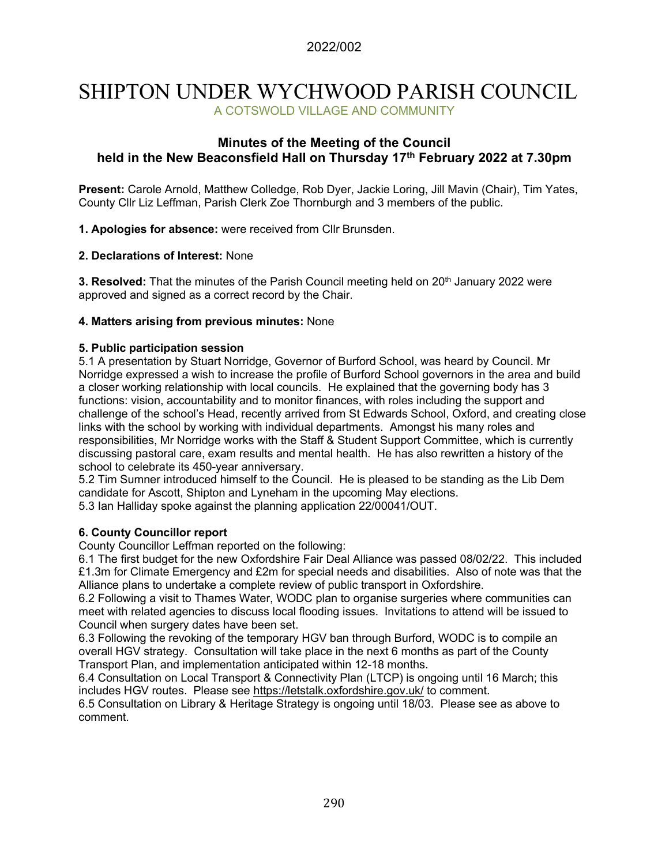# SHIPTON UNDER WYCHWOOD PARISH COUNCIL A COTSWOLD VILLAGE AND COMMUNITY

### **Minutes of the Meeting of the Council held in the New Beaconsfield Hall on Thursday 17th February 2022 at 7.30pm**

**Present:** Carole Arnold, Matthew Colledge, Rob Dyer, Jackie Loring, Jill Mavin (Chair), Tim Yates, County Cllr Liz Leffman, Parish Clerk Zoe Thornburgh and 3 members of the public.

**1. Apologies for absence:** were received from Cllr Brunsden.

#### **2. Declarations of Interest:** None

**3. Resolved:** That the minutes of the Parish Council meeting held on 20<sup>th</sup> January 2022 were approved and signed as a correct record by the Chair.

#### **4. Matters arising from previous minutes:** None

#### **5. Public participation session**

5.1 A presentation by Stuart Norridge, Governor of Burford School, was heard by Council. Mr Norridge expressed a wish to increase the profile of Burford School governors in the area and build a closer working relationship with local councils. He explained that the governing body has 3 functions: vision, accountability and to monitor finances, with roles including the support and challenge of the school's Head, recently arrived from St Edwards School, Oxford, and creating close links with the school by working with individual departments. Amongst his many roles and responsibilities, Mr Norridge works with the Staff & Student Support Committee, which is currently discussing pastoral care, exam results and mental health. He has also rewritten a history of the school to celebrate its 450-year anniversary.

5.2 Tim Sumner introduced himself to the Council. He is pleased to be standing as the Lib Dem candidate for Ascott, Shipton and Lyneham in the upcoming May elections.

5.3 Ian Halliday spoke against the planning application 22/00041/OUT.

#### **6. County Councillor report**

County Councillor Leffman reported on the following:

6.1 The first budget for the new Oxfordshire Fair Deal Alliance was passed 08/02/22. This included £1.3m for Climate Emergency and £2m for special needs and disabilities. Also of note was that the Alliance plans to undertake a complete review of public transport in Oxfordshire.

6.2 Following a visit to Thames Water, WODC plan to organise surgeries where communities can meet with related agencies to discuss local flooding issues. Invitations to attend will be issued to Council when surgery dates have been set.

6.3 Following the revoking of the temporary HGV ban through Burford, WODC is to compile an overall HGV strategy. Consultation will take place in the next 6 months as part of the County Transport Plan, and implementation anticipated within 12-18 months.

6.4 Consultation on Local Transport & Connectivity Plan (LTCP) is ongoing until 16 March; this includes HGV routes. Please see<https://letstalk.oxfordshire.gov.uk/> to comment.

6.5 Consultation on Library & Heritage Strategy is ongoing until 18/03. Please see as above to comment.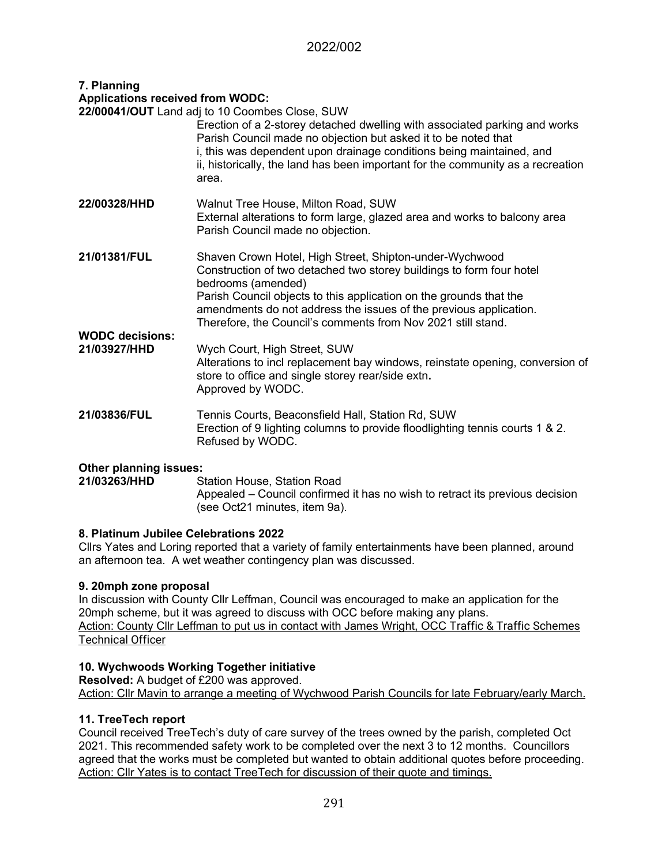## 2022/002

#### **7. Planning Applications received from WODC:**

| Applications received from woDO.       |                                                                                                                                                                                                                                                                                                         |
|----------------------------------------|---------------------------------------------------------------------------------------------------------------------------------------------------------------------------------------------------------------------------------------------------------------------------------------------------------|
|                                        | 22/00041/OUT Land adj to 10 Coombes Close, SUW                                                                                                                                                                                                                                                          |
|                                        | Erection of a 2-storey detached dwelling with associated parking and works<br>Parish Council made no objection but asked it to be noted that<br>i, this was dependent upon drainage conditions being maintained, and<br>ii, historically, the land has been important for the community as a recreation |
|                                        | area.                                                                                                                                                                                                                                                                                                   |
| 22/00328/HHD                           | Walnut Tree House, Milton Road, SUW<br>External alterations to form large, glazed area and works to balcony area<br>Parish Council made no objection.                                                                                                                                                   |
| 21/01381/FUL                           | Shaven Crown Hotel, High Street, Shipton-under-Wychwood<br>Construction of two detached two storey buildings to form four hotel<br>bedrooms (amended)                                                                                                                                                   |
|                                        | Parish Council objects to this application on the grounds that the<br>amendments do not address the issues of the previous application.<br>Therefore, the Council's comments from Nov 2021 still stand.                                                                                                 |
| <b>WODC decisions:</b><br>21/03927/HHD | Wych Court, High Street, SUW<br>Alterations to incl replacement bay windows, reinstate opening, conversion of<br>store to office and single storey rear/side extn.<br>Approved by WODC.                                                                                                                 |
| 21/03836/FUL                           | Tennis Courts, Beaconsfield Hall, Station Rd, SUW<br>Erection of 9 lighting columns to provide floodlighting tennis courts 1 & 2.<br>Refused by WODC.                                                                                                                                                   |

# **Other planning issues:**

**21 Station House, Station Road** Appealed – Council confirmed it has no wish to retract its previous decision (see Oct21 minutes, item 9a).

#### **8. Platinum Jubilee Celebrations 2022**

Cllrs Yates and Loring reported that a variety of family entertainments have been planned, around an afternoon tea. A wet weather contingency plan was discussed.

#### **9. 20mph zone proposal**

In discussion with County Cllr Leffman, Council was encouraged to make an application for the 20mph scheme, but it was agreed to discuss with OCC before making any plans. Action: County Cllr Leffman to put us in contact with James Wright, OCC Traffic & Traffic Schemes Technical Officer

#### **10. Wychwoods Working Together initiative**

**Resolved:** A budget of £200 was approved. Action: Cllr Mavin to arrange a meeting of Wychwood Parish Councils for late February/early March.

#### **11. TreeTech report**

Council received TreeTech's duty of care survey of the trees owned by the parish, completed Oct 2021. This recommended safety work to be completed over the next 3 to 12 months. Councillors agreed that the works must be completed but wanted to obtain additional quotes before proceeding. Action: Cllr Yates is to contact TreeTech for discussion of their quote and timings.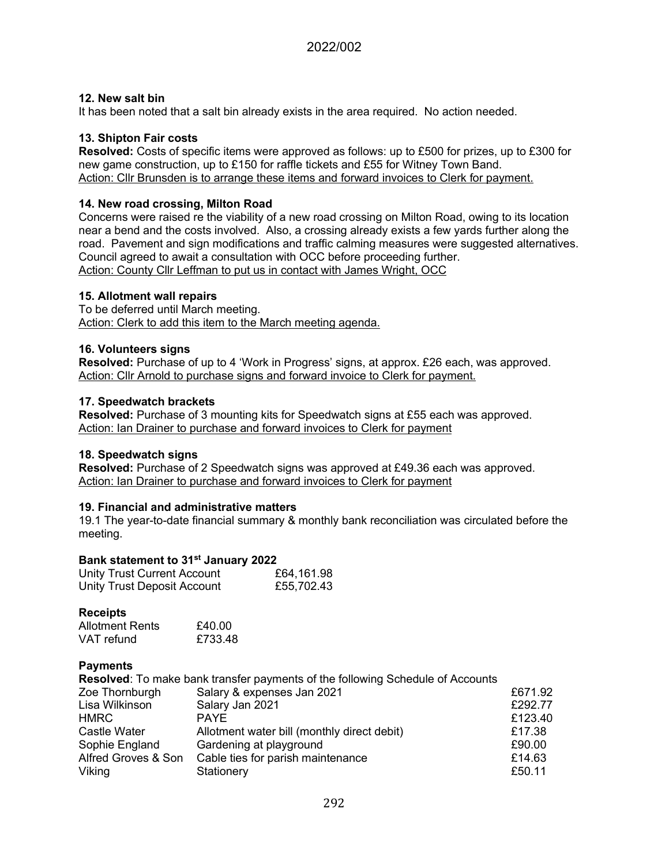#### **12. New salt bin**

It has been noted that a salt bin already exists in the area required. No action needed.

#### **13. Shipton Fair costs**

**Resolved:** Costs of specific items were approved as follows: up to £500 for prizes, up to £300 for new game construction, up to £150 for raffle tickets and £55 for Witney Town Band. Action: Cllr Brunsden is to arrange these items and forward invoices to Clerk for payment.

#### **14. New road crossing, Milton Road**

Concerns were raised re the viability of a new road crossing on Milton Road, owing to its location near a bend and the costs involved. Also, a crossing already exists a few yards further along the road. Pavement and sign modifications and traffic calming measures were suggested alternatives. Council agreed to await a consultation with OCC before proceeding further. Action: County Cllr Leffman to put us in contact with James Wright, OCC

#### **15. Allotment wall repairs**

To be deferred until March meeting. Action: Clerk to add this item to the March meeting agenda.

#### **16. Volunteers signs**

**Resolved:** Purchase of up to 4 'Work in Progress' signs, at approx. £26 each, was approved. Action: Cllr Arnold to purchase signs and forward invoice to Clerk for payment.

#### **17. Speedwatch brackets**

**Resolved:** Purchase of 3 mounting kits for Speedwatch signs at £55 each was approved. Action: Ian Drainer to purchase and forward invoices to Clerk for payment

#### **18. Speedwatch signs**

**Resolved:** Purchase of 2 Speedwatch signs was approved at £49.36 each was approved. Action: Ian Drainer to purchase and forward invoices to Clerk for payment

#### **19. Financial and administrative matters**

19.1 The year-to-date financial summary & monthly bank reconciliation was circulated before the meeting.

#### **Bank statement to 31st January 2022**

| <b>Unity Trust Current Account</b> | £64,161.98 |
|------------------------------------|------------|
| Unity Trust Deposit Account        | £55,702.43 |

#### **Receipts**

| <b>Allotment Rents</b> | £40.00  |
|------------------------|---------|
| VAT refund             | £733.48 |

#### **Payments**

|                     | <b>Resolved:</b> To make bank transfer payments of the following Schedule of Accounts |         |
|---------------------|---------------------------------------------------------------------------------------|---------|
| Zoe Thornburgh      | Salary & expenses Jan 2021                                                            | £671.92 |
| Lisa Wilkinson      | Salary Jan 2021                                                                       | £292.77 |
| <b>HMRC</b>         | <b>PAYE</b>                                                                           | £123.40 |
| Castle Water        | Allotment water bill (monthly direct debit)                                           | £17.38  |
| Sophie England      | Gardening at playground                                                               | £90.00  |
| Alfred Groves & Son | Cable ties for parish maintenance                                                     | £14.63  |
| Viking              | Stationery                                                                            | £50.11  |